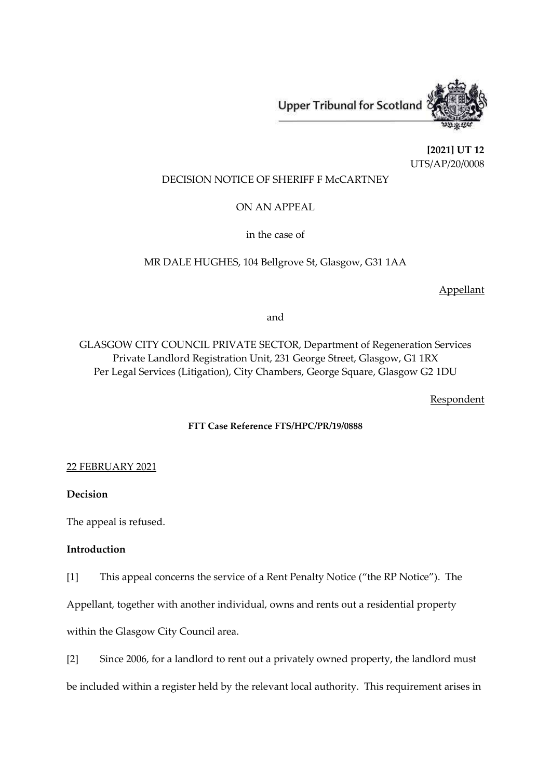Upper Tribunal for Scotland



**[2021] UT 12** UTS/AP/20/0008

# DECISION NOTICE OF SHERIFF F McCARTNEY

ON AN APPEAL

in the case of

# MR DALE HUGHES, 104 Bellgrove St, Glasgow, G31 1AA

Appellant

and

GLASGOW CITY COUNCIL PRIVATE SECTOR, Department of Regeneration Services Private Landlord Registration Unit, 231 George Street, Glasgow, G1 1RX Per Legal Services (Litigation), City Chambers, George Square, Glasgow G2 1DU

Respondent

## **FTT Case Reference FTS/HPC/PR/19/0888**

## 22 FEBRUARY 2021

# **Decision**

The appeal is refused.

# **Introduction**

[1] This appeal concerns the service of a Rent Penalty Notice ("the RP Notice"). The

Appellant, together with another individual, owns and rents out a residential property

within the Glasgow City Council area.

[2] Since 2006, for a landlord to rent out a privately owned property, the landlord must

be included within a register held by the relevant local authority. This requirement arises in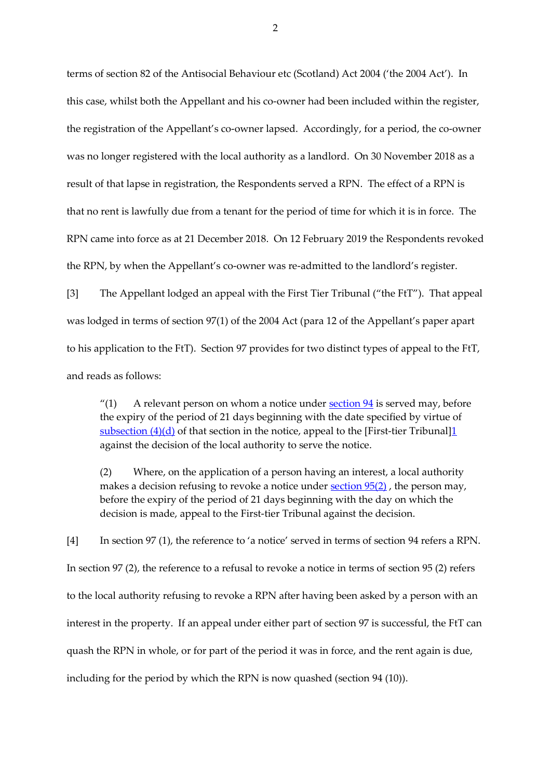terms of section 82 of the Antisocial Behaviour etc (Scotland) Act 2004 ('the 2004 Act'). In this case, whilst both the Appellant and his co-owner had been included within the register, the registration of the Appellant's co-owner lapsed. Accordingly, for a period, the co-owner was no longer registered with the local authority as a landlord. On 30 November 2018 as a result of that lapse in registration, the Respondents served a RPN. The effect of a RPN is that no rent is lawfully due from a tenant for the period of time for which it is in force. The RPN came into force as at 21 December 2018. On 12 February 2019 the Respondents revoked the RPN, by when the Appellant's co-owner was re-admitted to the landlord's register.

[3] The Appellant lodged an appeal with the First Tier Tribunal ("the FtT"). That appeal was lodged in terms of section 97(1) of the 2004 Act (para 12 of the Appellant's paper apart to his application to the FtT). Section 97 provides for two distinct types of appeal to the FtT, and reads as follows:

"(1) A relevant person on whom a notice under [section](https://uk.westlaw.com/Document/I69622870E45311DA8D70A0E70A78ED65/View/FullText.html?originationContext=document&transitionType=DocumentItem&contextData=(sc.DocLink))  $94$  is served may, before the expiry of the period of 21 days beginning with the date specified by virtue of [subsection](https://uk.westlaw.com/Document/I69622870E45311DA8D70A0E70A78ED65/View/FullText.html?originationContext=document&transitionType=DocumentItem&contextData=(sc.DocLink))  $(4)(d)$  of that section in the notice, appeal to the [First-tier Tribunal] $1$ against the decision of the local authority to serve the notice.

(2) Where, on the application of a person having an interest, a local authority makes a decision refusing to revoke a notice under [section](https://uk.westlaw.com/Document/I69629DA1E45311DA8D70A0E70A78ED65/View/FullText.html?originationContext=document&transitionType=DocumentItem&contextData=(sc.DocLink)) 95(2), the person may, before the expiry of the period of 21 days beginning with the day on which the decision is made, appeal to the First-tier Tribunal against the decision.

[4] In section 97 (1), the reference to 'a notice' served in terms of section 94 refers a RPN. In section 97 (2), the reference to a refusal to revoke a notice in terms of section 95 (2) refers to the local authority refusing to revoke a RPN after having been asked by a person with an interest in the property. If an appeal under either part of section 97 is successful, the FtT can quash the RPN in whole, or for part of the period it was in force, and the rent again is due, including for the period by which the RPN is now quashed (section 94 (10)).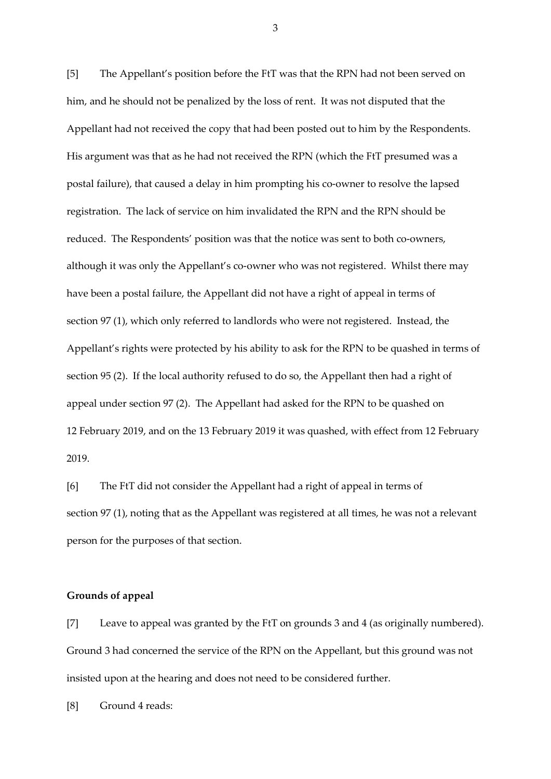[5] The Appellant's position before the FtT was that the RPN had not been served on him, and he should not be penalized by the loss of rent. It was not disputed that the Appellant had not received the copy that had been posted out to him by the Respondents. His argument was that as he had not received the RPN (which the FtT presumed was a postal failure), that caused a delay in him prompting his co-owner to resolve the lapsed registration. The lack of service on him invalidated the RPN and the RPN should be reduced. The Respondents' position was that the notice was sent to both co-owners, although it was only the Appellant's co-owner who was not registered. Whilst there may have been a postal failure, the Appellant did not have a right of appeal in terms of section 97 (1), which only referred to landlords who were not registered. Instead, the Appellant's rights were protected by his ability to ask for the RPN to be quashed in terms of section 95 (2). If the local authority refused to do so, the Appellant then had a right of appeal under section 97 (2). The Appellant had asked for the RPN to be quashed on 12 February 2019, and on the 13 February 2019 it was quashed, with effect from 12 February 2019.

[6] The FtT did not consider the Appellant had a right of appeal in terms of section 97 (1), noting that as the Appellant was registered at all times, he was not a relevant person for the purposes of that section.

## **Grounds of appeal**

[7] Leave to appeal was granted by the FtT on grounds 3 and 4 (as originally numbered). Ground 3 had concerned the service of the RPN on the Appellant, but this ground was not insisted upon at the hearing and does not need to be considered further.

[8] Ground 4 reads: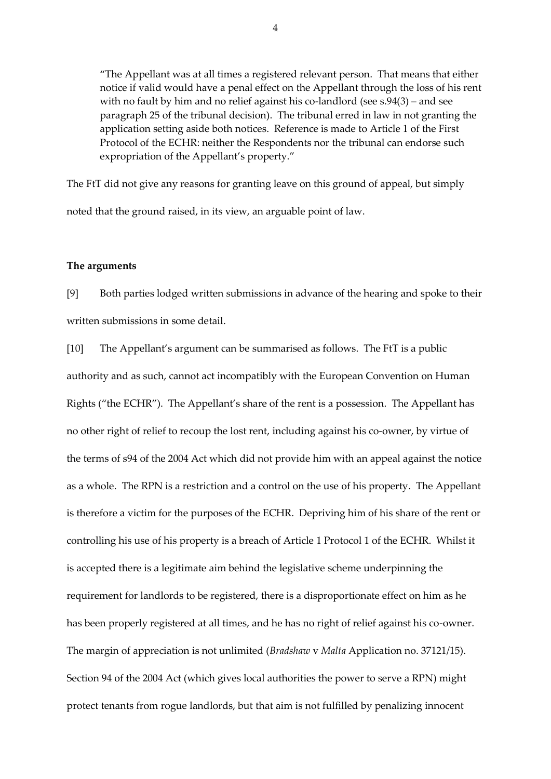"The Appellant was at all times a registered relevant person. That means that either notice if valid would have a penal effect on the Appellant through the loss of his rent with no fault by him and no relief against his co-landlord (see s.94(3) – and see paragraph 25 of the tribunal decision). The tribunal erred in law in not granting the application setting aside both notices. Reference is made to Article 1 of the First Protocol of the ECHR: neither the Respondents nor the tribunal can endorse such expropriation of the Appellant's property."

The FtT did not give any reasons for granting leave on this ground of appeal, but simply noted that the ground raised, in its view, an arguable point of law.

#### **The arguments**

[9] Both parties lodged written submissions in advance of the hearing and spoke to their written submissions in some detail.

[10] The Appellant's argument can be summarised as follows. The FtT is a public authority and as such, cannot act incompatibly with the European Convention on Human Rights ("the ECHR"). The Appellant's share of the rent is a possession. The Appellant has no other right of relief to recoup the lost rent, including against his co-owner, by virtue of the terms of s94 of the 2004 Act which did not provide him with an appeal against the notice as a whole. The RPN is a restriction and a control on the use of his property. The Appellant is therefore a victim for the purposes of the ECHR. Depriving him of his share of the rent or controlling his use of his property is a breach of Article 1 Protocol 1 of the ECHR. Whilst it is accepted there is a legitimate aim behind the legislative scheme underpinning the requirement for landlords to be registered, there is a disproportionate effect on him as he has been properly registered at all times, and he has no right of relief against his co-owner. The margin of appreciation is not unlimited (*Bradshaw* v *Malta* Application no. 37121/15). Section 94 of the 2004 Act (which gives local authorities the power to serve a RPN) might protect tenants from rogue landlords, but that aim is not fulfilled by penalizing innocent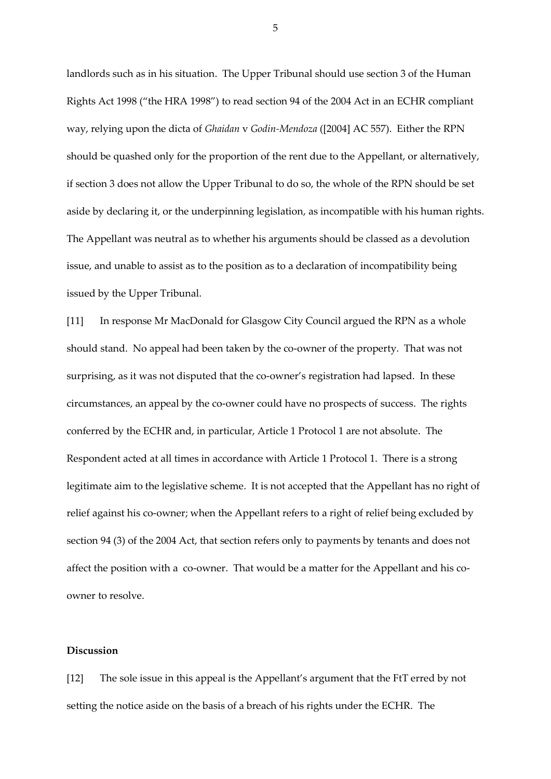landlords such as in his situation. The Upper Tribunal should use section 3 of the Human Rights Act 1998 ("the HRA 1998") to read section 94 of the 2004 Act in an ECHR compliant way, relying upon the dicta of *Ghaidan* v *Godin-Mendoza* ([2004] AC 557). Either the RPN should be quashed only for the proportion of the rent due to the Appellant, or alternatively, if section 3 does not allow the Upper Tribunal to do so, the whole of the RPN should be set aside by declaring it, or the underpinning legislation, as incompatible with his human rights. The Appellant was neutral as to whether his arguments should be classed as a devolution issue, and unable to assist as to the position as to a declaration of incompatibility being issued by the Upper Tribunal.

[11] In response Mr MacDonald for Glasgow City Council argued the RPN as a whole should stand. No appeal had been taken by the co-owner of the property. That was not surprising, as it was not disputed that the co-owner's registration had lapsed. In these circumstances, an appeal by the co-owner could have no prospects of success. The rights conferred by the ECHR and, in particular, Article 1 Protocol 1 are not absolute. The Respondent acted at all times in accordance with Article 1 Protocol 1. There is a strong legitimate aim to the legislative scheme. It is not accepted that the Appellant has no right of relief against his co-owner; when the Appellant refers to a right of relief being excluded by section 94 (3) of the 2004 Act, that section refers only to payments by tenants and does not affect the position with a co-owner. That would be a matter for the Appellant and his coowner to resolve.

## **Discussion**

[12] The sole issue in this appeal is the Appellant's argument that the FtT erred by not setting the notice aside on the basis of a breach of his rights under the ECHR. The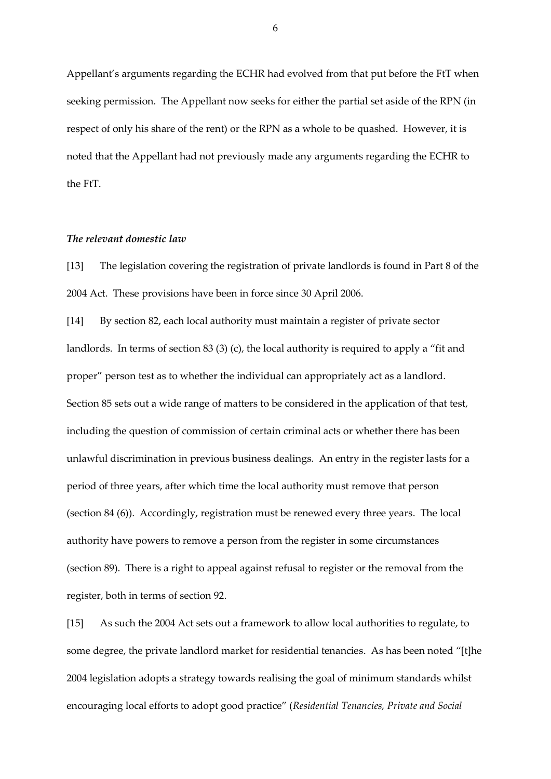Appellant's arguments regarding the ECHR had evolved from that put before the FtT when seeking permission. The Appellant now seeks for either the partial set aside of the RPN (in respect of only his share of the rent) or the RPN as a whole to be quashed. However, it is noted that the Appellant had not previously made any arguments regarding the ECHR to the FtT.

# *The relevant domestic law*

[13] The legislation covering the registration of private landlords is found in Part 8 of the 2004 Act. These provisions have been in force since 30 April 2006.

[14] By section 82, each local authority must maintain a register of private sector landlords. In terms of section 83 (3) (c), the local authority is required to apply a "fit and proper" person test as to whether the individual can appropriately act as a landlord. Section 85 sets out a wide range of matters to be considered in the application of that test, including the question of commission of certain criminal acts or whether there has been unlawful discrimination in previous business dealings. An entry in the register lasts for a period of three years, after which time the local authority must remove that person (section 84 (6)). Accordingly, registration must be renewed every three years. The local authority have powers to remove a person from the register in some circumstances (section 89). There is a right to appeal against refusal to register or the removal from the register, both in terms of section 92.

[15] As such the 2004 Act sets out a framework to allow local authorities to regulate, to some degree, the private landlord market for residential tenancies. As has been noted "[t]he 2004 legislation adopts a strategy towards realising the goal of minimum standards whilst encouraging local efforts to adopt good practice" (*Residential Tenancies, Private and Social*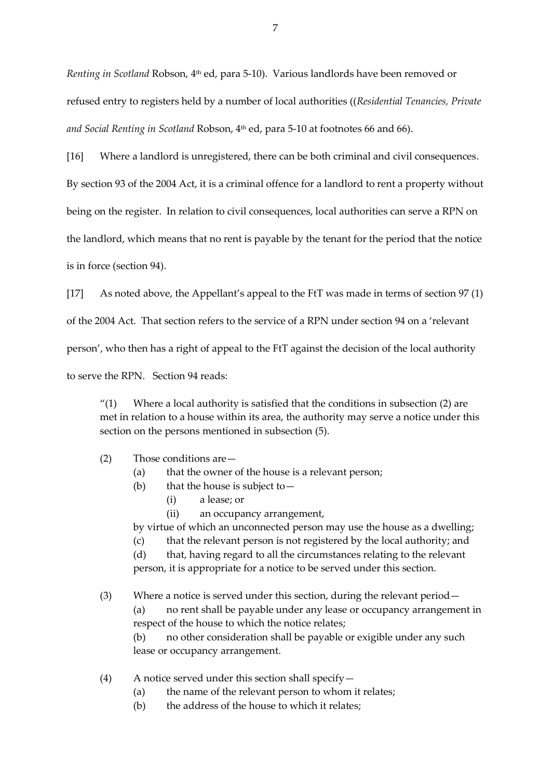*Renting in Scotland* Robson, 4th ed, para 5-10). Various landlords have been removed or refused entry to registers held by a number of local authorities ((*Residential Tenancies, Private and Social Renting in Scotland* Robson, 4th ed, para 5-10 at footnotes 66 and 66).

[16] Where a landlord is unregistered, there can be both criminal and civil consequences.

By section 93 of the 2004 Act, it is a criminal offence for a landlord to rent a property without

being on the register. In relation to civil consequences, local authorities can serve a RPN on

the landlord, which means that no rent is payable by the tenant for the period that the notice

is in force (section 94).

[17] As noted above, the Appellant's appeal to the FtT was made in terms of section 97 (1)

of the 2004 Act. That section refers to the service of a RPN under section 94 on a 'relevant

person', who then has a right of appeal to the FtT against the decision of the local authority

to serve the RPN. Section 94 reads:

" $(1)$  Where a local authority is satisfied that the conditions in subsection  $(2)$  are met in relation to a house within its area, the authority may serve a notice under this section on the persons mentioned in subsection (5).

- (2) Those conditions are—
	- (a) that the owner of the house is a relevant person;
	- (b) that the house is subject to  $-$ 
		- (i) a lease; or
		- (ii) an occupancy arrangement,

by virtue of which an unconnected person may use the house as a dwelling;

(c) that the relevant person is not registered by the local authority; and

(d) that, having regard to all the circumstances relating to the relevant person, it is appropriate for a notice to be served under this section.

(3) Where a notice is served under this section, during the relevant period—

(a) no rent shall be payable under any lease or occupancy arrangement in respect of the house to which the notice relates;

(b) no other consideration shall be payable or exigible under any such lease or occupancy arrangement.

- (4) A notice served under this section shall specify—
	- (a) the name of the relevant person to whom it relates;
	- (b) the address of the house to which it relates;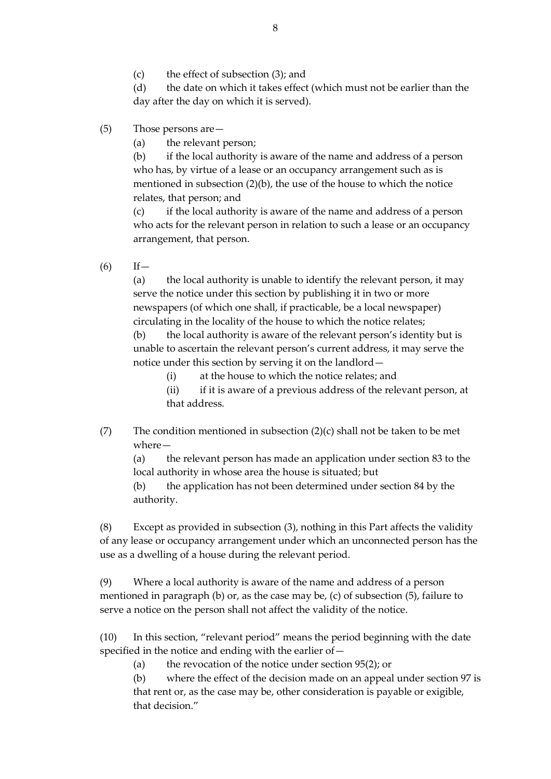(c) the effect of subsection (3); and

(d) the date on which it takes effect (which must not be earlier than the day after the day on which it is served).

- (5) Those persons are—
	- (a) the relevant person;

(b) if the local authority is aware of the name and address of a person who has, by virtue of a lease or an occupancy arrangement such as is mentioned in subsection (2)(b), the use of the house to which the notice relates, that person; and

(c) if the local authority is aware of the name and address of a person who acts for the relevant person in relation to such a lease or an occupancy arrangement, that person.

 $(6)$  If —

(a) the local authority is unable to identify the relevant person, it may serve the notice under this section by publishing it in two or more newspapers (of which one shall, if practicable, be a local newspaper) circulating in the locality of the house to which the notice relates;

(b) the local authority is aware of the relevant person's identity but is unable to ascertain the relevant person's current address, it may serve the notice under this section by serving it on the landlord—

(i) at the house to which the notice relates; and

(ii) if it is aware of a previous address of the relevant person, at that address.

(7) The condition mentioned in subsection  $(2)(c)$  shall not be taken to be met where—

(a) the relevant person has made an application under section 83 to the local authority in whose area the house is situated; but

(b) the application has not been determined under section 84 by the authority.

(8) Except as provided in subsection (3), nothing in this Part affects the validity of any lease or occupancy arrangement under which an unconnected person has the use as a dwelling of a house during the relevant period.

(9) Where a local authority is aware of the name and address of a person mentioned in paragraph (b) or, as the case may be, (c) of subsection (5), failure to serve a notice on the person shall not affect the validity of the notice.

(10) In this section, "relevant period" means the period beginning with the date specified in the notice and ending with the earlier of—

(a) the revocation of the notice under section 95(2); or

(b) where the effect of the decision made on an appeal under section 97 is that rent or, as the case may be, other consideration is payable or exigible, that decision."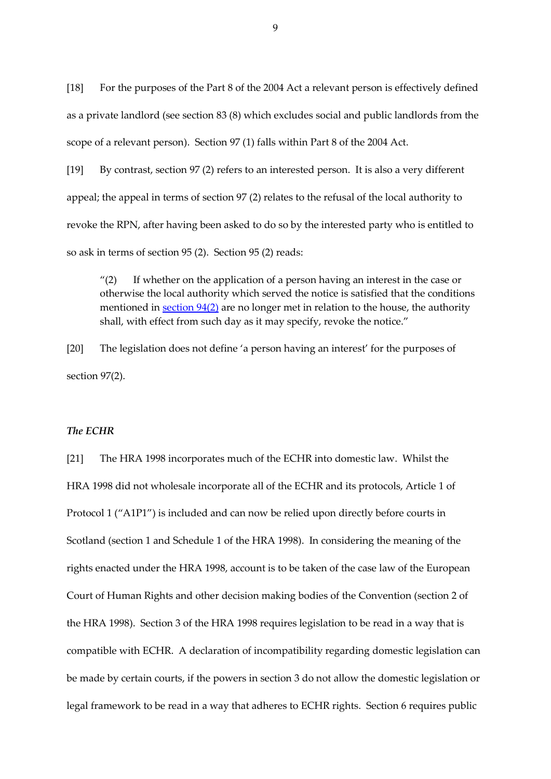[18] For the purposes of the Part 8 of the 2004 Act a relevant person is effectively defined as a private landlord (see section 83 (8) which excludes social and public landlords from the scope of a relevant person). Section 97 (1) falls within Part 8 of the 2004 Act.

[19] By contrast, section 97 (2) refers to an interested person. It is also a very different appeal; the appeal in terms of section 97 (2) relates to the refusal of the local authority to revoke the RPN, after having been asked to do so by the interested party who is entitled to so ask in terms of section 95 (2). Section 95 (2) reads:

" $(2)$  If whether on the application of a person having an interest in the case or otherwise the local authority which served the notice is satisfied that the conditions mentioned in  $\frac{\text{section } 94(2)}{2}$  are no longer met in relation to the house, the authority shall, with effect from such day as it may specify, revoke the notice."

[20] The legislation does not define 'a person having an interest' for the purposes of section 97(2).

#### *The ECHR*

[21] The HRA 1998 incorporates much of the ECHR into domestic law. Whilst the HRA 1998 did not wholesale incorporate all of the ECHR and its protocols, Article 1 of Protocol 1 ("A1P1") is included and can now be relied upon directly before courts in Scotland (section 1 and Schedule 1 of the HRA 1998). In considering the meaning of the rights enacted under the HRA 1998, account is to be taken of the case law of the European Court of Human Rights and other decision making bodies of the Convention (section 2 of the HRA 1998). Section 3 of the HRA 1998 requires legislation to be read in a way that is compatible with ECHR. A declaration of incompatibility regarding domestic legislation can be made by certain courts, if the powers in section 3 do not allow the domestic legislation or legal framework to be read in a way that adheres to ECHR rights. Section 6 requires public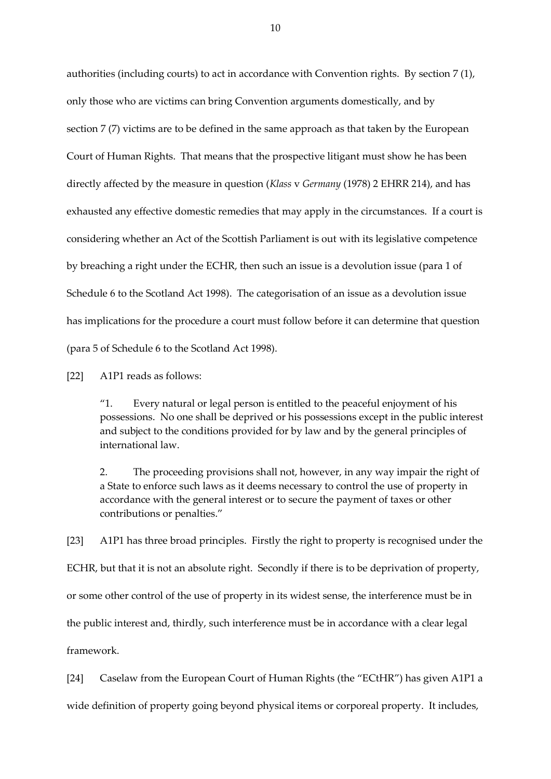authorities (including courts) to act in accordance with Convention rights. By section 7 (1), only those who are victims can bring Convention arguments domestically, and by section 7 (7) victims are to be defined in the same approach as that taken by the European Court of Human Rights. That means that the prospective litigant must show he has been directly affected by the measure in question (*Klass* v *Germany* (1978) 2 EHRR 214), and has exhausted any effective domestic remedies that may apply in the circumstances. If a court is considering whether an Act of the Scottish Parliament is out with its legislative competence by breaching a right under the ECHR, then such an issue is a devolution issue (para 1 of Schedule 6 to the Scotland Act 1998). The categorisation of an issue as a devolution issue has implications for the procedure a court must follow before it can determine that question (para 5 of Schedule 6 to the Scotland Act 1998).

[22] A1P1 reads as follows:

"1. Every natural or legal person is entitled to the peaceful enjoyment of his possessions. No one shall be deprived or his possessions except in the public interest and subject to the conditions provided for by law and by the general principles of international law.

2. The proceeding provisions shall not, however, in any way impair the right of a State to enforce such laws as it deems necessary to control the use of property in accordance with the general interest or to secure the payment of taxes or other contributions or penalties."

[23] A1P1 has three broad principles. Firstly the right to property is recognised under the ECHR, but that it is not an absolute right. Secondly if there is to be deprivation of property, or some other control of the use of property in its widest sense, the interference must be in the public interest and, thirdly, such interference must be in accordance with a clear legal framework.

[24] Caselaw from the European Court of Human Rights (the "ECtHR") has given A1P1 a wide definition of property going beyond physical items or corporeal property. It includes,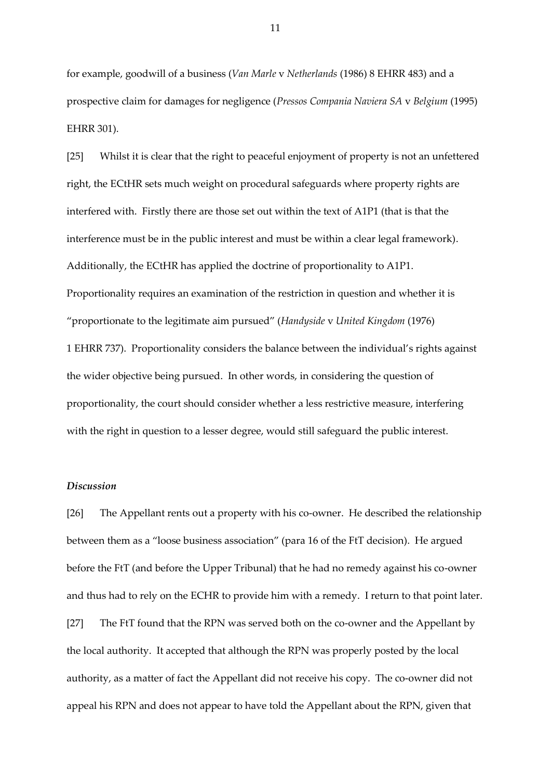for example, goodwill of a business (*Van Marle* v *Netherlands* (1986) 8 EHRR 483) and a prospective claim for damages for negligence (*Pressos Compania Naviera SA* v *Belgium* (1995) EHRR 301).

[25] Whilst it is clear that the right to peaceful enjoyment of property is not an unfettered right, the ECtHR sets much weight on procedural safeguards where property rights are interfered with. Firstly there are those set out within the text of A1P1 (that is that the interference must be in the public interest and must be within a clear legal framework). Additionally, the ECtHR has applied the doctrine of proportionality to A1P1. Proportionality requires an examination of the restriction in question and whether it is "proportionate to the legitimate aim pursued" (*Handyside* v *United Kingdom* (1976) 1 EHRR 737). Proportionality considers the balance between the individual's rights against the wider objective being pursued. In other words, in considering the question of proportionality, the court should consider whether a less restrictive measure, interfering with the right in question to a lesser degree, would still safeguard the public interest.

#### *Discussion*

[26] The Appellant rents out a property with his co-owner. He described the relationship between them as a "loose business association" (para 16 of the FtT decision). He argued before the FtT (and before the Upper Tribunal) that he had no remedy against his co-owner and thus had to rely on the ECHR to provide him with a remedy. I return to that point later. [27] The FtT found that the RPN was served both on the co-owner and the Appellant by the local authority. It accepted that although the RPN was properly posted by the local authority, as a matter of fact the Appellant did not receive his copy. The co-owner did not appeal his RPN and does not appear to have told the Appellant about the RPN, given that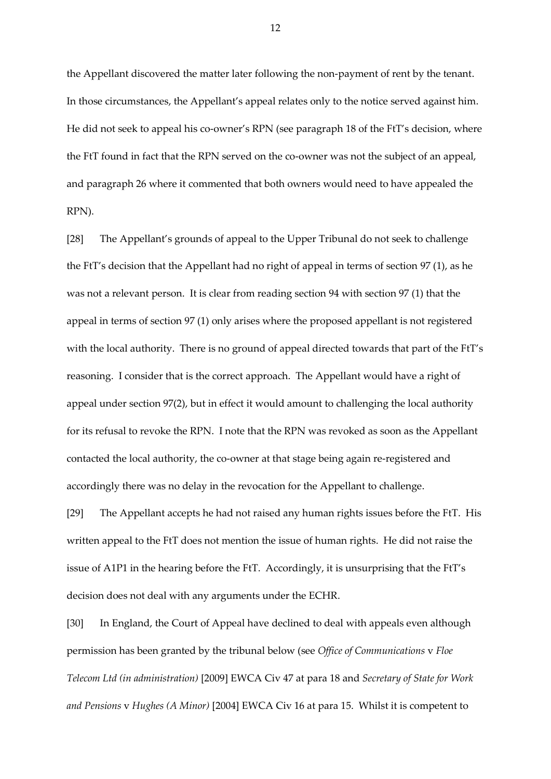the Appellant discovered the matter later following the non-payment of rent by the tenant. In those circumstances, the Appellant's appeal relates only to the notice served against him. He did not seek to appeal his co-owner's RPN (see paragraph 18 of the FtT's decision, where the FtT found in fact that the RPN served on the co-owner was not the subject of an appeal, and paragraph 26 where it commented that both owners would need to have appealed the RPN).

[28] The Appellant's grounds of appeal to the Upper Tribunal do not seek to challenge the FtT's decision that the Appellant had no right of appeal in terms of section 97 (1), as he was not a relevant person. It is clear from reading section 94 with section 97 (1) that the appeal in terms of section 97 (1) only arises where the proposed appellant is not registered with the local authority. There is no ground of appeal directed towards that part of the FtT's reasoning. I consider that is the correct approach. The Appellant would have a right of appeal under section 97(2), but in effect it would amount to challenging the local authority for its refusal to revoke the RPN. I note that the RPN was revoked as soon as the Appellant contacted the local authority, the co-owner at that stage being again re-registered and accordingly there was no delay in the revocation for the Appellant to challenge.

[29] The Appellant accepts he had not raised any human rights issues before the FtT. His written appeal to the FtT does not mention the issue of human rights. He did not raise the issue of A1P1 in the hearing before the FtT. Accordingly, it is unsurprising that the FtT's decision does not deal with any arguments under the ECHR.

[30] In England, the Court of Appeal have declined to deal with appeals even although permission has been granted by the tribunal below (see *Office of Communications* v *Floe Telecom Ltd (in administration)* [2009] EWCA Civ 47 at para 18 and *Secretary of State for Work and Pensions* v *Hughes (A Minor)* [2004] EWCA Civ 16 at para 15. Whilst it is competent to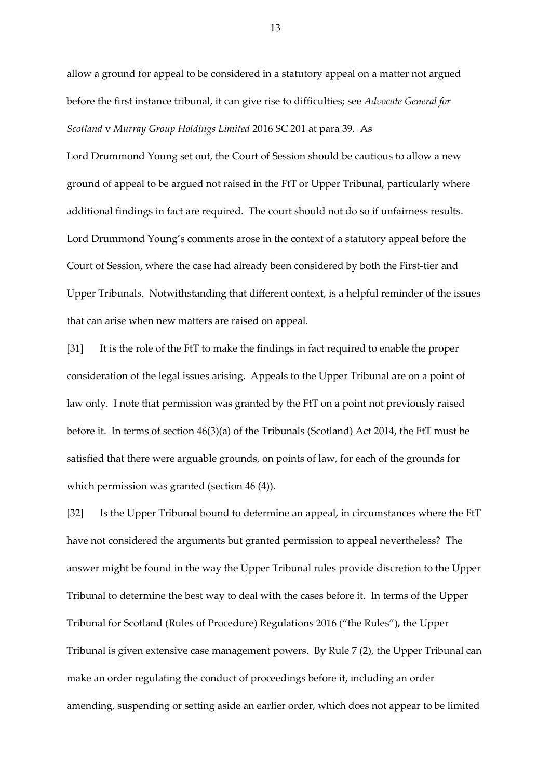allow a ground for appeal to be considered in a statutory appeal on a matter not argued before the first instance tribunal, it can give rise to difficulties; see *Advocate General for Scotland* v *Murray Group Holdings Limited* 2016 SC 201 at para 39. As

Lord Drummond Young set out, the Court of Session should be cautious to allow a new ground of appeal to be argued not raised in the FtT or Upper Tribunal, particularly where additional findings in fact are required. The court should not do so if unfairness results. Lord Drummond Young's comments arose in the context of a statutory appeal before the Court of Session, where the case had already been considered by both the First-tier and Upper Tribunals. Notwithstanding that different context, is a helpful reminder of the issues that can arise when new matters are raised on appeal.

[31] It is the role of the FtT to make the findings in fact required to enable the proper consideration of the legal issues arising. Appeals to the Upper Tribunal are on a point of law only. I note that permission was granted by the FtT on a point not previously raised before it. In terms of section 46(3)(a) of the Tribunals (Scotland) Act 2014, the FtT must be satisfied that there were arguable grounds, on points of law, for each of the grounds for which permission was granted (section 46 (4)).

[32] Is the Upper Tribunal bound to determine an appeal, in circumstances where the FtT have not considered the arguments but granted permission to appeal nevertheless? The answer might be found in the way the Upper Tribunal rules provide discretion to the Upper Tribunal to determine the best way to deal with the cases before it. In terms of the Upper Tribunal for Scotland (Rules of Procedure) Regulations 2016 ("the Rules"), the Upper Tribunal is given extensive case management powers. By Rule 7 (2), the Upper Tribunal can make an order regulating the conduct of proceedings before it, including an order amending, suspending or setting aside an earlier order, which does not appear to be limited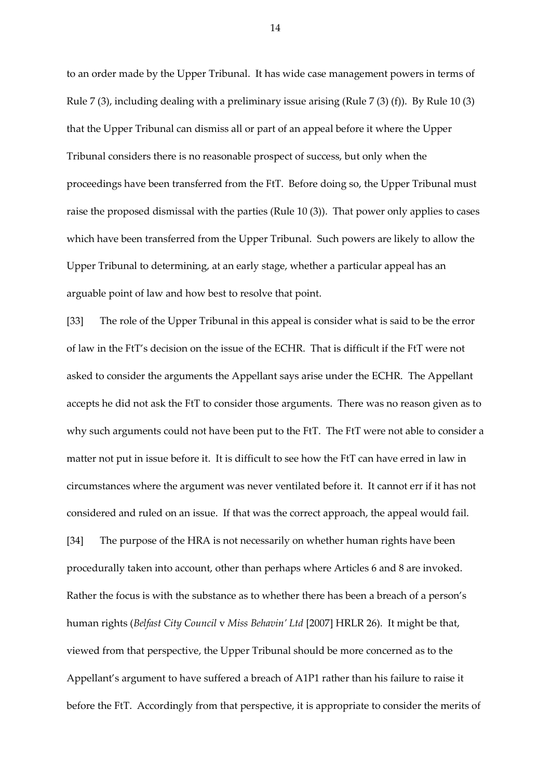to an order made by the Upper Tribunal. It has wide case management powers in terms of Rule 7 (3), including dealing with a preliminary issue arising (Rule 7 (3) (f)). By Rule 10 (3) that the Upper Tribunal can dismiss all or part of an appeal before it where the Upper Tribunal considers there is no reasonable prospect of success, but only when the proceedings have been transferred from the FtT. Before doing so, the Upper Tribunal must raise the proposed dismissal with the parties (Rule 10 (3)). That power only applies to cases which have been transferred from the Upper Tribunal. Such powers are likely to allow the Upper Tribunal to determining, at an early stage, whether a particular appeal has an arguable point of law and how best to resolve that point.

[33] The role of the Upper Tribunal in this appeal is consider what is said to be the error of law in the FtT's decision on the issue of the ECHR. That is difficult if the FtT were not asked to consider the arguments the Appellant says arise under the ECHR. The Appellant accepts he did not ask the FtT to consider those arguments. There was no reason given as to why such arguments could not have been put to the FtT. The FtT were not able to consider a matter not put in issue before it. It is difficult to see how the FtT can have erred in law in circumstances where the argument was never ventilated before it. It cannot err if it has not considered and ruled on an issue. If that was the correct approach, the appeal would fail.

[34] The purpose of the HRA is not necessarily on whether human rights have been procedurally taken into account, other than perhaps where Articles 6 and 8 are invoked. Rather the focus is with the substance as to whether there has been a breach of a person's human rights (*Belfast City Council* v *Miss Behavin' Ltd* [2007] HRLR 26). It might be that, viewed from that perspective, the Upper Tribunal should be more concerned as to the Appellant's argument to have suffered a breach of A1P1 rather than his failure to raise it before the FtT. Accordingly from that perspective, it is appropriate to consider the merits of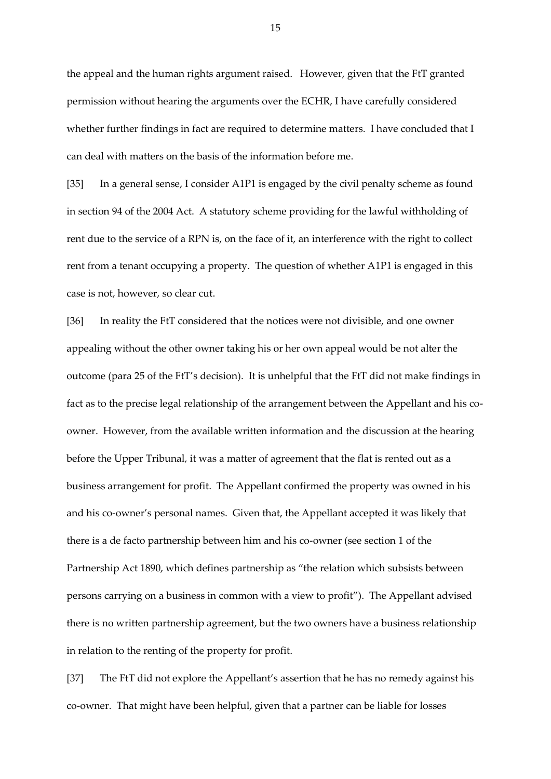the appeal and the human rights argument raised. However, given that the FtT granted permission without hearing the arguments over the ECHR, I have carefully considered whether further findings in fact are required to determine matters. I have concluded that I can deal with matters on the basis of the information before me.

[35] In a general sense, I consider A1P1 is engaged by the civil penalty scheme as found in section 94 of the 2004 Act. A statutory scheme providing for the lawful withholding of rent due to the service of a RPN is, on the face of it, an interference with the right to collect rent from a tenant occupying a property. The question of whether A1P1 is engaged in this case is not, however, so clear cut.

[36] In reality the FtT considered that the notices were not divisible, and one owner appealing without the other owner taking his or her own appeal would be not alter the outcome (para 25 of the FtT's decision). It is unhelpful that the FtT did not make findings in fact as to the precise legal relationship of the arrangement between the Appellant and his coowner. However, from the available written information and the discussion at the hearing before the Upper Tribunal, it was a matter of agreement that the flat is rented out as a business arrangement for profit. The Appellant confirmed the property was owned in his and his co-owner's personal names. Given that, the Appellant accepted it was likely that there is a de facto partnership between him and his co-owner (see section 1 of the Partnership Act 1890, which defines partnership as "the relation which subsists between persons carrying on a business in common with a view to profit"). The Appellant advised there is no written partnership agreement, but the two owners have a business relationship in relation to the renting of the property for profit.

[37] The FtT did not explore the Appellant's assertion that he has no remedy against his co-owner. That might have been helpful, given that a partner can be liable for losses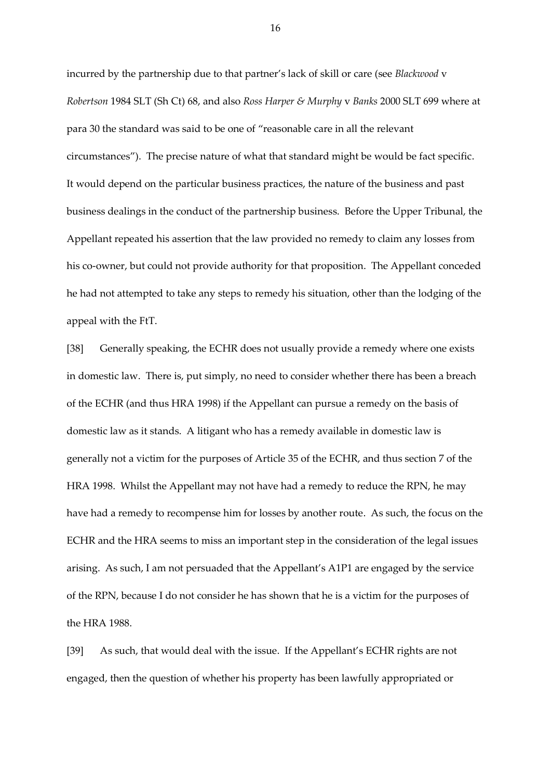incurred by the partnership due to that partner's lack of skill or care (see *Blackwood* v *Robertson* 1984 SLT (Sh Ct) 68, and also *Ross Harper & Murphy* v *Banks* 2000 SLT 699 where at para 30 the standard was said to be one of "reasonable care in all the relevant circumstances"). The precise nature of what that standard might be would be fact specific. It would depend on the particular business practices, the nature of the business and past business dealings in the conduct of the partnership business. Before the Upper Tribunal, the Appellant repeated his assertion that the law provided no remedy to claim any losses from his co-owner, but could not provide authority for that proposition. The Appellant conceded he had not attempted to take any steps to remedy his situation, other than the lodging of the appeal with the FtT.

[38] Generally speaking, the ECHR does not usually provide a remedy where one exists in domestic law. There is, put simply, no need to consider whether there has been a breach of the ECHR (and thus HRA 1998) if the Appellant can pursue a remedy on the basis of domestic law as it stands. A litigant who has a remedy available in domestic law is generally not a victim for the purposes of Article 35 of the ECHR, and thus section 7 of the HRA 1998. Whilst the Appellant may not have had a remedy to reduce the RPN, he may have had a remedy to recompense him for losses by another route. As such, the focus on the ECHR and the HRA seems to miss an important step in the consideration of the legal issues arising. As such, I am not persuaded that the Appellant's A1P1 are engaged by the service of the RPN, because I do not consider he has shown that he is a victim for the purposes of the HRA 1988.

[39] As such, that would deal with the issue. If the Appellant's ECHR rights are not engaged, then the question of whether his property has been lawfully appropriated or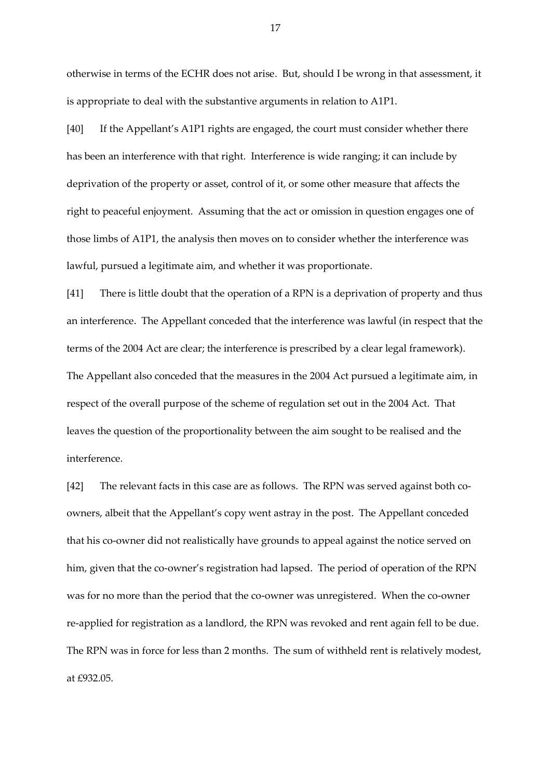otherwise in terms of the ECHR does not arise. But, should I be wrong in that assessment, it is appropriate to deal with the substantive arguments in relation to A1P1.

[40] If the Appellant's A1P1 rights are engaged, the court must consider whether there has been an interference with that right. Interference is wide ranging; it can include by deprivation of the property or asset, control of it, or some other measure that affects the right to peaceful enjoyment. Assuming that the act or omission in question engages one of those limbs of A1P1, the analysis then moves on to consider whether the interference was lawful, pursued a legitimate aim, and whether it was proportionate.

[41] There is little doubt that the operation of a RPN is a deprivation of property and thus an interference. The Appellant conceded that the interference was lawful (in respect that the terms of the 2004 Act are clear; the interference is prescribed by a clear legal framework). The Appellant also conceded that the measures in the 2004 Act pursued a legitimate aim, in respect of the overall purpose of the scheme of regulation set out in the 2004 Act. That leaves the question of the proportionality between the aim sought to be realised and the interference.

[42] The relevant facts in this case are as follows. The RPN was served against both coowners, albeit that the Appellant's copy went astray in the post. The Appellant conceded that his co-owner did not realistically have grounds to appeal against the notice served on him, given that the co-owner's registration had lapsed. The period of operation of the RPN was for no more than the period that the co-owner was unregistered. When the co-owner re-applied for registration as a landlord, the RPN was revoked and rent again fell to be due. The RPN was in force for less than 2 months. The sum of withheld rent is relatively modest, at £932.05.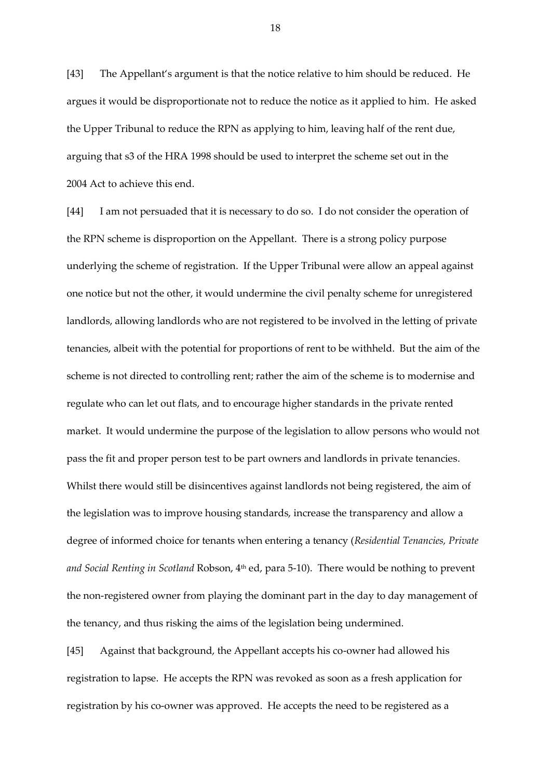[43] The Appellant's argument is that the notice relative to him should be reduced. He argues it would be disproportionate not to reduce the notice as it applied to him. He asked the Upper Tribunal to reduce the RPN as applying to him, leaving half of the rent due, arguing that s3 of the HRA 1998 should be used to interpret the scheme set out in the 2004 Act to achieve this end.

[44] I am not persuaded that it is necessary to do so. I do not consider the operation of the RPN scheme is disproportion on the Appellant. There is a strong policy purpose underlying the scheme of registration. If the Upper Tribunal were allow an appeal against one notice but not the other, it would undermine the civil penalty scheme for unregistered landlords, allowing landlords who are not registered to be involved in the letting of private tenancies, albeit with the potential for proportions of rent to be withheld. But the aim of the scheme is not directed to controlling rent; rather the aim of the scheme is to modernise and regulate who can let out flats, and to encourage higher standards in the private rented market. It would undermine the purpose of the legislation to allow persons who would not pass the fit and proper person test to be part owners and landlords in private tenancies. Whilst there would still be disincentives against landlords not being registered, the aim of the legislation was to improve housing standards, increase the transparency and allow a degree of informed choice for tenants when entering a tenancy (*Residential Tenancies, Private*  and Social Renting in Scotland Robson, 4<sup>th</sup> ed, para 5-10). There would be nothing to prevent the non-registered owner from playing the dominant part in the day to day management of the tenancy, and thus risking the aims of the legislation being undermined.

[45] Against that background, the Appellant accepts his co-owner had allowed his registration to lapse. He accepts the RPN was revoked as soon as a fresh application for registration by his co-owner was approved. He accepts the need to be registered as a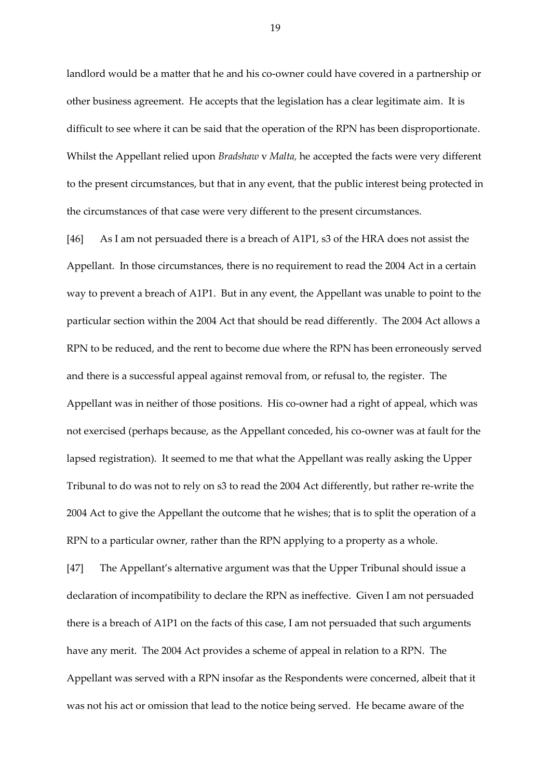landlord would be a matter that he and his co-owner could have covered in a partnership or other business agreement. He accepts that the legislation has a clear legitimate aim. It is difficult to see where it can be said that the operation of the RPN has been disproportionate. Whilst the Appellant relied upon *Bradshaw* v *Malta,* he accepted the facts were very different to the present circumstances, but that in any event, that the public interest being protected in the circumstances of that case were very different to the present circumstances.

[46] As I am not persuaded there is a breach of A1P1, s3 of the HRA does not assist the Appellant. In those circumstances, there is no requirement to read the 2004 Act in a certain way to prevent a breach of A1P1. But in any event, the Appellant was unable to point to the particular section within the 2004 Act that should be read differently. The 2004 Act allows a RPN to be reduced, and the rent to become due where the RPN has been erroneously served and there is a successful appeal against removal from, or refusal to, the register. The Appellant was in neither of those positions. His co-owner had a right of appeal, which was not exercised (perhaps because, as the Appellant conceded, his co-owner was at fault for the lapsed registration). It seemed to me that what the Appellant was really asking the Upper Tribunal to do was not to rely on s3 to read the 2004 Act differently, but rather re-write the 2004 Act to give the Appellant the outcome that he wishes; that is to split the operation of a RPN to a particular owner, rather than the RPN applying to a property as a whole.

[47] The Appellant's alternative argument was that the Upper Tribunal should issue a declaration of incompatibility to declare the RPN as ineffective. Given I am not persuaded there is a breach of A1P1 on the facts of this case, I am not persuaded that such arguments have any merit. The 2004 Act provides a scheme of appeal in relation to a RPN. The Appellant was served with a RPN insofar as the Respondents were concerned, albeit that it was not his act or omission that lead to the notice being served. He became aware of the